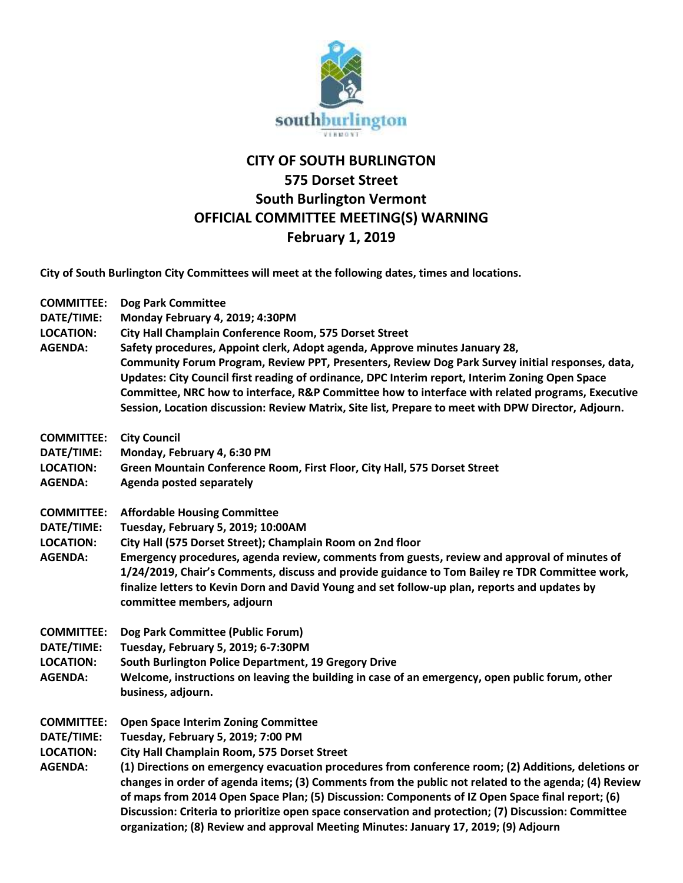

## **CITY OF SOUTH BURLINGTON 575 Dorset Street South Burlington Vermont OFFICIAL COMMITTEE MEETING(S) WARNING February 1, 2019**

**City of South Burlington City Committees will meet at the following dates, times and locations.** 

| <b>COMMITTEE:</b><br>DATE/TIME:<br><b>LOCATION:</b><br><b>AGENDA:</b> | <b>Dog Park Committee</b><br>Monday February 4, 2019; 4:30PM<br>City Hall Champlain Conference Room, 575 Dorset Street<br>Safety procedures, Appoint clerk, Adopt agenda, Approve minutes January 28,<br>Community Forum Program, Review PPT, Presenters, Review Dog Park Survey initial responses, data,<br>Updates: City Council first reading of ordinance, DPC Interim report, Interim Zoning Open Space<br>Committee, NRC how to interface, R&P Committee how to interface with related programs, Executive<br>Session, Location discussion: Review Matrix, Site list, Prepare to meet with DPW Director, Adjourn.                            |
|-----------------------------------------------------------------------|----------------------------------------------------------------------------------------------------------------------------------------------------------------------------------------------------------------------------------------------------------------------------------------------------------------------------------------------------------------------------------------------------------------------------------------------------------------------------------------------------------------------------------------------------------------------------------------------------------------------------------------------------|
| <b>COMMITTEE:</b><br>DATE/TIME:<br><b>LOCATION:</b><br><b>AGENDA:</b> | <b>City Council</b><br>Monday, February 4, 6:30 PM<br>Green Mountain Conference Room, First Floor, City Hall, 575 Dorset Street<br>Agenda posted separately                                                                                                                                                                                                                                                                                                                                                                                                                                                                                        |
| <b>COMMITTEE:</b><br>DATE/TIME:<br><b>LOCATION:</b><br><b>AGENDA:</b> | <b>Affordable Housing Committee</b><br>Tuesday, February 5, 2019; 10:00AM<br>City Hall (575 Dorset Street); Champlain Room on 2nd floor<br>Emergency procedures, agenda review, comments from guests, review and approval of minutes of<br>1/24/2019, Chair's Comments, discuss and provide guidance to Tom Bailey re TDR Committee work,<br>finalize letters to Kevin Dorn and David Young and set follow-up plan, reports and updates by<br>committee members, adjourn                                                                                                                                                                           |
| <b>COMMITTEE:</b><br>DATE/TIME:<br><b>LOCATION:</b><br><b>AGENDA:</b> | Dog Park Committee (Public Forum)<br>Tuesday, February 5, 2019; 6-7:30PM<br>South Burlington Police Department, 19 Gregory Drive<br>Welcome, instructions on leaving the building in case of an emergency, open public forum, other<br>business, adjourn.                                                                                                                                                                                                                                                                                                                                                                                          |
| <b>COMMITTEE:</b><br>DATE/TIME:<br><b>LOCATION:</b><br><b>AGENDA:</b> | <b>Open Space Interim Zoning Committee</b><br>Tuesday, February 5, 2019; 7:00 PM<br>City Hall Champlain Room, 575 Dorset Street<br>(1) Directions on emergency evacuation procedures from conference room; (2) Additions, deletions or<br>changes in order of agenda items; (3) Comments from the public not related to the agenda; (4) Review<br>of maps from 2014 Open Space Plan; (5) Discussion: Components of IZ Open Space final report; (6)<br>Discussion: Criteria to prioritize open space conservation and protection; (7) Discussion: Committee<br>organization; (8) Review and approval Meeting Minutes: January 17, 2019; (9) Adjourn |